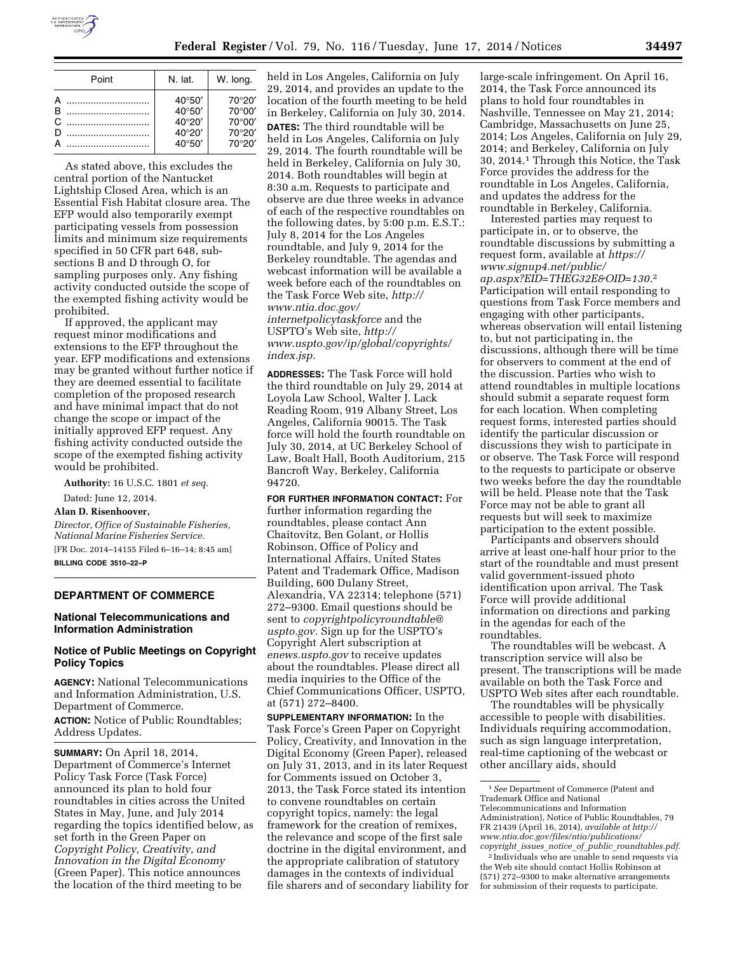

| Point    | N. lat.                                                          | W. long.                                       |
|----------|------------------------------------------------------------------|------------------------------------------------|
| B.<br>C. | $40^{\circ}50'$<br>$40^{\circ}50'$<br>40°20'<br>40°20'<br>40°50' | 70°20'<br>70°00'<br>70°00'<br>70°20'<br>70°20' |

As stated above, this excludes the central portion of the Nantucket Lightship Closed Area, which is an Essential Fish Habitat closure area. The EFP would also temporarily exempt participating vessels from possession limits and minimum size requirements specified in 50 CFR part 648, subsections B and D through O, for sampling purposes only. Any fishing activity conducted outside the scope of the exempted fishing activity would be prohibited.

If approved, the applicant may request minor modifications and extensions to the EFP throughout the year. EFP modifications and extensions may be granted without further notice if they are deemed essential to facilitate completion of the proposed research and have minimal impact that do not change the scope or impact of the initially approved EFP request. Any fishing activity conducted outside the scope of the exempted fishing activity would be prohibited.

**Authority:** 16 U.S.C. 1801 *et seq.* 

Dated: June 12, 2014.

# **Alan D. Risenhoover,**

*Director, Office of Sustainable Fisheries, National Marine Fisheries Service.* 

[FR Doc. 2014–14155 Filed 6–16–14; 8:45 am] **BILLING CODE 3510–22–P** 

# **DEPARTMENT OF COMMERCE**

## **National Telecommunications and Information Administration**

# **Notice of Public Meetings on Copyright Policy Topics**

**AGENCY:** National Telecommunications and Information Administration, U.S. Department of Commerce. **ACTION:** Notice of Public Roundtables; Address Updates.

**SUMMARY:** On April 18, 2014, Department of Commerce's Internet Policy Task Force (Task Force) announced its plan to hold four roundtables in cities across the United States in May, June, and July 2014 regarding the topics identified below, as set forth in the Green Paper on *Copyright Policy, Creativity, and Innovation in the Digital Economy*  (Green Paper). This notice announces the location of the third meeting to be

held in Los Angeles, California on July 29, 2014, and provides an update to the location of the fourth meeting to be held in Berkeley, California on July 30, 2014. **DATES:** The third roundtable will be held in Los Angeles, California on July 29, 2014. The fourth roundtable will be held in Berkeley, California on July 30, 2014. Both roundtables will begin at 8:30 a.m. Requests to participate and observe are due three weeks in advance of each of the respective roundtables on the following dates, by 5:00 p.m. E.S.T.: July 8, 2014 for the Los Angeles roundtable, and July 9, 2014 for the Berkeley roundtable. The agendas and webcast information will be available a week before each of the roundtables on the Task Force Web site, *[http://](http://www.ntia.doc.gov/internetpolicytaskforce) [www.ntia.doc.gov/](http://www.ntia.doc.gov/internetpolicytaskforce) [internetpolicytaskforce](http://www.ntia.doc.gov/internetpolicytaskforce)* and the

USPTO's Web site, *[http://](http://www.uspto.gov/ip/global/copyrights/index.jsp) [www.uspto.gov/ip/global/copyrights/](http://www.uspto.gov/ip/global/copyrights/index.jsp) [index.jsp.](http://www.uspto.gov/ip/global/copyrights/index.jsp)* 

**ADDRESSES:** The Task Force will hold the third roundtable on July 29, 2014 at Loyola Law School, Walter J. Lack Reading Room, 919 Albany Street, Los Angeles, California 90015. The Task force will hold the fourth roundtable on July 30, 2014, at UC Berkeley School of Law, Boalt Hall, Booth Auditorium, 215 Bancroft Way, Berkeley, California 94720.

**FOR FURTHER INFORMATION CONTACT:** For further information regarding the roundtables, please contact Ann Chaitovitz, Ben Golant, or Hollis Robinson, Office of Policy and International Affairs, United States Patent and Trademark Office, Madison Building, 600 Dulany Street, Alexandria, VA 22314; telephone (571) 272–9300. Email questions should be sent to *[copyrightpolicyroundtable@](mailto:copyrightpolicyroundtable@uspto.gov) [uspto.gov.](mailto:copyrightpolicyroundtable@uspto.gov)* Sign up for the USPTO's Copyright Alert subscription at *enews.uspto.gov* to receive updates about the roundtables. Please direct all media inquiries to the Office of the Chief Communications Officer, USPTO, at (571) 272–8400.

**SUPPLEMENTARY INFORMATION:** In the Task Force's Green Paper on Copyright Policy, Creativity, and Innovation in the Digital Economy (Green Paper), released on July 31, 2013, and in its later Request for Comments issued on October 3, 2013, the Task Force stated its intention to convene roundtables on certain copyright topics, namely: the legal framework for the creation of remixes, the relevance and scope of the first sale doctrine in the digital environment, and the appropriate calibration of statutory damages in the contexts of individual file sharers and of secondary liability for

large-scale infringement. On April 16, 2014, the Task Force announced its plans to hold four roundtables in Nashville, Tennessee on May 21, 2014; Cambridge, Massachusetts on June 25, 2014; Los Angeles, California on July 29, 2014; and Berkeley, California on July 30, 2014.1 Through this Notice, the Task Force provides the address for the roundtable in Los Angeles, California, and updates the address for the roundtable in Berkeley, California.

Interested parties may request to participate in, or to observe, the roundtable discussions by submitting a request form, available at *[https://](https://www.signup4.net/public/ap.aspx?EID=THEG32E&OID=130.2) [www.signup4.net/public/](https://www.signup4.net/public/ap.aspx?EID=THEG32E&OID=130.2) [ap.aspx?EID=THEG32E&OID=130.](https://www.signup4.net/public/ap.aspx?EID=THEG32E&OID=130.2)*2 Participation will entail responding to questions from Task Force members and engaging with other participants, whereas observation will entail listening to, but not participating in, the discussions, although there will be time for observers to comment at the end of the discussion. Parties who wish to attend roundtables in multiple locations should submit a separate request form for each location. When completing request forms, interested parties should identify the particular discussion or discussions they wish to participate in or observe. The Task Force will respond to the requests to participate or observe two weeks before the day the roundtable will be held. Please note that the Task Force may not be able to grant all requests but will seek to maximize participation to the extent possible.

Participants and observers should arrive at least one-half hour prior to the start of the roundtable and must present valid government-issued photo identification upon arrival. The Task Force will provide additional information on directions and parking in the agendas for each of the roundtables.

The roundtables will be webcast. A transcription service will also be present. The transcriptions will be made available on both the Task Force and USPTO Web sites after each roundtable.

The roundtables will be physically accessible to people with disabilities. Individuals requiring accommodation, such as sign language interpretation, real-time captioning of the webcast or other ancillary aids, should

<sup>1</sup>*See* Department of Commerce (Patent and Trademark Office and National

Telecommunications and Information Administration), Notice of Public Roundtables, 79 FR 21439 (April 16, 2014), *available at [http://](http://www.ntia.doc.gov/files/ntia/publications/copyright_issues_notice_of_public_roundtables.pdf) [www.ntia.doc.gov/files/ntia/publications/](http://www.ntia.doc.gov/files/ntia/publications/copyright_issues_notice_of_public_roundtables.pdf) copyright*\_*issues*\_*notice*\_*of*\_*public*\_*[roundtables.pdf.](http://www.ntia.doc.gov/files/ntia/publications/copyright_issues_notice_of_public_roundtables.pdf)* 

<sup>2</sup> Individuals who are unable to send requests via the Web site should contact Hollis Robinson at (571) 272–9300 to make alternative arrangements for submission of their requests to participate.